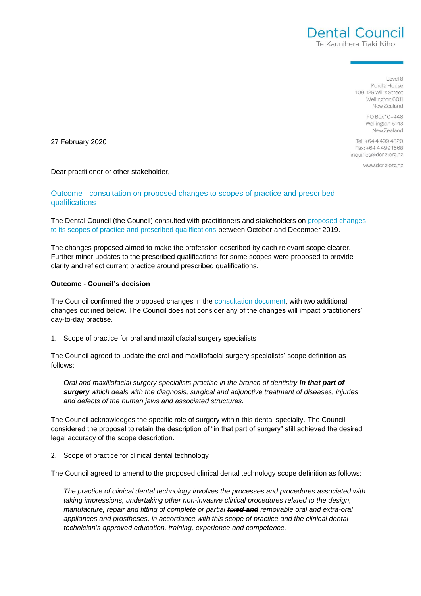$|$  eyel 8 Kordia House 109-125 Willis Street Wellington 6011 New Zealand

Dental Council Te Kaunihera Tiaki Niho

> PO Box 10-448 Wellington 6143 New Zealand

Tel: +64 4 499 4820 Fax: +64 4 499 1668 inquiries@dcnz.org.nz

www.dcnz.org.nz

27 February 2020

Dear practitioner or other stakeholder,

## Outcome - consultation on proposed changes to scopes of practice and prescribed qualifications

The Dental Council (the Council) consulted with practitioners and stakeholders on [proposed changes](https://dcnz.org.nz/assets/Uploads/Consultations/2019/Consultation-on-scope-of-practice-and-prescribed-qualifications/Consultation-on-scopes-of-practice-and-prescribed-qualifications-17-October-2019.pdf)  to its [scopes of practice and prescribed qualifications](https://dcnz.org.nz/assets/Uploads/Consultations/2019/Consultation-on-scope-of-practice-and-prescribed-qualifications/Consultation-on-scopes-of-practice-and-prescribed-qualifications-17-October-2019.pdf) between October and December 2019.

The changes proposed aimed to make the profession described by each relevant scope clearer. Further minor updates to the prescribed qualifications for some scopes were proposed to provide clarity and reflect current practice around prescribed qualifications.

## **Outcome - Council's decision**

The Council confirmed the proposed changes in the [consultation document,](https://dcnz.org.nz/assets/Uploads/Consultations/2019/Consultation-on-scope-of-practice-and-prescribed-qualifications/Consultation-on-scopes-of-practice-and-prescribed-qualifications-17-October-2019.pdf) with two additional changes outlined below. The Council does not consider any of the changes will impact practitioners' day-to-day practise.

1. Scope of practice for oral and maxillofacial surgery specialists

The Council agreed to update the oral and maxillofacial surgery specialists' scope definition as follows:

*Oral and maxillofacial surgery specialists practise in the branch of dentistry in that part of surgery which deals with the diagnosis, surgical and adjunctive treatment of diseases, injuries and defects of the human jaws and associated structures.*

The Council acknowledges the specific role of surgery within this dental specialty. The Council considered the proposal to retain the description of "in that part of surgery" still achieved the desired legal accuracy of the scope description.

2. Scope of practice for clinical dental technology

The Council agreed to amend to the proposed clinical dental technology scope definition as follows:

*The practice of clinical dental technology involves the processes and procedures associated with taking impressions, undertaking other non-invasive clinical procedures related to the design, manufacture, repair and fitting of complete or partial fixed and removable oral and extra-oral*  appliances and prostheses, in accordance with this scope of practice and the clinical dental *technician's approved education, training, experience and competence.*